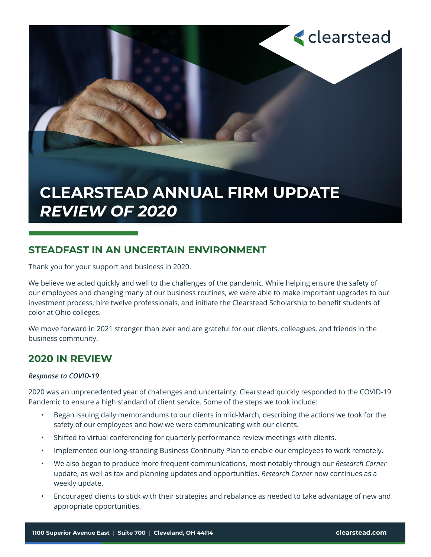# **CLEARSTEAD ANNUAL FIRM UPDATE** *REVIEW OF 2020*

### **STEADFAST IN AN UNCERTAIN ENVIRONMENT**

Thank you for your support and business in 2020.

We believe we acted quickly and well to the challenges of the pandemic. While helping ensure the safety of our employees and changing many of our business routines, we were able to make important upgrades to our investment process, hire twelve professionals, and initiate the Clearstead Scholarship to benefit students of color at Ohio colleges.

We move forward in 2021 stronger than ever and are grateful for our clients, colleagues, and friends in the business community.

### **2020 IN REVIEW**

#### *Response to COVID-19*

2020 was an unprecedented year of challenges and uncertainty. Clearstead quickly responded to the COVID-19 Pandemic to ensure a high standard of client service. Some of the steps we took include:

- Began issuing daily memorandums to our clients in mid-March, describing the actions we took for the safety of our employees and how we were communicating with our clients.
- Shifted to virtual conferencing for quarterly performance review meetings with clients.
- Implemented our long-standing Business Continuity Plan to enable our employees to work remotely.
- We also began to produce more frequent communications, most notably through our *Research Corner* update, as well as tax and planning updates and opportunities. *Research Corner* now continues as a weekly update.
- Encouraged clients to stick with their strategies and rebalance as needed to take advantage of new and appropriate opportunities.

**<clearstead**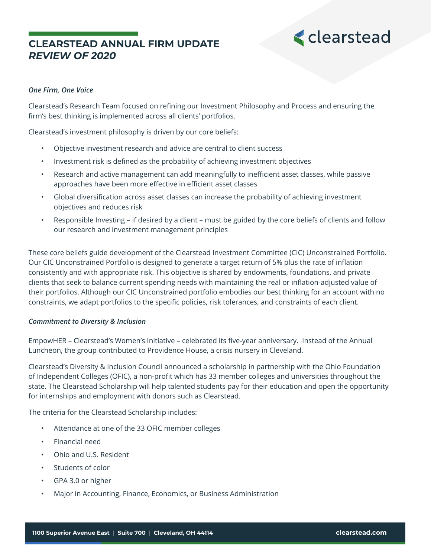### **CLEARSTEAD ANNUAL FIRM UPDATE** *REVIEW OF 2020*



#### *One Firm, One Voice*

Clearstead's Research Team focused on refining our Investment Philosophy and Process and ensuring the firm's best thinking is implemented across all clients' portfolios.

Clearstead's investment philosophy is driven by our core beliefs:

- Objective investment research and advice are central to client success
- Investment risk is defined as the probability of achieving investment objectives
- Research and active management can add meaningfully to inefficient asset classes, while passive approaches have been more effective in efficient asset classes
- Global diversification across asset classes can increase the probability of achieving investment objectives and reduces risk
- Responsible Investing if desired by a client must be guided by the core beliefs of clients and follow our research and investment management principles

These core beliefs guide development of the Clearstead Investment Committee (CIC) Unconstrained Portfolio. Our CIC Unconstrained Portfolio is designed to generate a target return of 5% plus the rate of inflation consistently and with appropriate risk. This objective is shared by endowments, foundations, and private clients that seek to balance current spending needs with maintaining the real or inflation-adjusted value of their portfolios. Although our CIC Unconstrained portfolio embodies our best thinking for an account with no constraints, we adapt portfolios to the specific policies, risk tolerances, and constraints of each client.

#### *Commitment to Diversity & Inclusion*

EmpowHER – Clearstead's Women's Initiative – celebrated its five-year anniversary. Instead of the Annual Luncheon, the group contributed to Providence House, a crisis nursery in Cleveland.

Clearstead's Diversity & Inclusion Council announced a scholarship in partnership with the Ohio Foundation of Independent Colleges (OFIC), a non-profit which has 33 member colleges and universities throughout the state. The Clearstead Scholarship will help talented students pay for their education and open the opportunity for internships and employment with donors such as Clearstead.

The criteria for the Clearstead Scholarship includes:

- Attendance at one of the 33 OFIC member colleges
- Financial need
- Ohio and U.S. Resident
- Students of color
- GPA 3.0 or higher
- Major in Accounting, Finance, Economics, or Business Administration